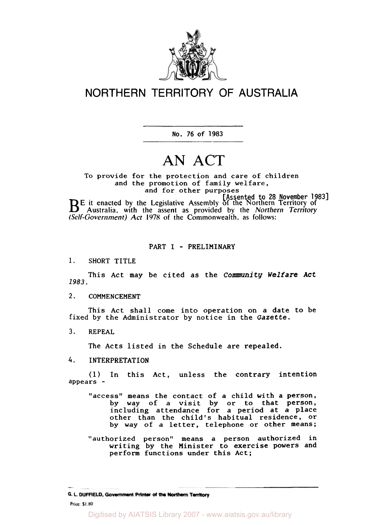

# NORTHERN TERRITORY OF **AUSTRALIA**

**No. 76 of 1983** 

# **AN ACT**

To provide for the protection and care of children and the promotion of family welfare, and for other purposes

**BE** it enacted by the Legislative Assembly of the Northern Territory of Australia, with the assent as provided by the Northern Territory (Self-Government) Act 1978 of the Commonwealth, as follows: [Assented to **28** November **1983]** 

# PART I - PRELIMINARY

**1.** SHORT TITLE

This Act may be cited as the *Community Welfare Act 1983.* 

# 2. COMMENCEMENT

This Act shall come into operation on a date to be fixed by the Administrator by notice in the *Gazette.* 

*3.* REPEAL

The Acts listed in the Schedule are repealed.

*4.* INTERPRETATION

**(1)** In this Act, unless the contrary intention appears -

- "access" means the contact of a child with a person, by way of a visit by **or** to that person, including attendance for a period at a place other than the child's habitual residence, or by way of a letter, telephone or other means;
- "authorized person" means a person authorized in writing by the Minister to exercise powers and perform functions under this Act;

G. L. DUFFIELD, Government Printer of the Northern Territory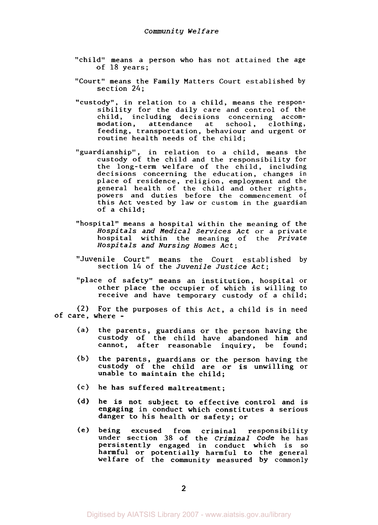- "child" means a person who has not attained the age of 18 years;
- "Court" means the Family Matters Court established by section 24;
- "custody", in relation to a child, means the responsibility for the daily care and control of the child, including decisions concerning accommodation, attendance at school, clothing, feeding, transportation, behaviour and urgent or routine health needs of the child;
- "guardianship", in relation to a child, means the custody of the child and the responsibility for the long-term welfare of the child, including decisions concerning the education, changes in place of residence, religion, employment and the general health of the child and other rights, powers and duties before the commencement of this Act vested by law or custom in the guardian of a child;
- "hospital" means a hospital within the meaning of the *Hospitals and Medical Services Act* or a private hospital within the meaning of the *Private Hospitals and Nursing Homes Act;*
- section 14 of the *Juvenile Justice Act;*  "Juvenile Court" means the Court established by
- "place of safety" means an institution, hospital or other place the occupier of which is willing to receive and have temporary custody of a child;

(2) For the purposes of this Act, a child is in need of care, where -

- (a) the parents, guardians or the person having the custody of the child have abandoned him and cannot, after reasonable inquiry, be found;
- (b) the parents, guardians or the person having the custody of the child are or is unwilling or unable to maintain the child;
- (C) he has suffered maltreatment;
- **(d)** he is not subject to effective control and is engaging in conduct which constitutes a serious danger to his health or safety; or
- (e) being excused from criminal responsibility under section 38 of the *Criminal Code* he has persistently engaged in conduct which is so harmful or potentially harmful to the general welfare of the community measured by commonly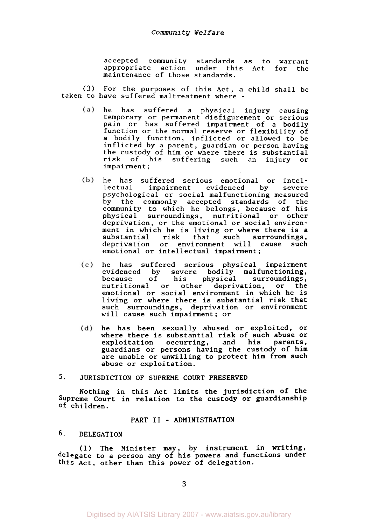accepted community standards as to warrant appropriate action under this Act for the maintenance of those standards.

**(3)** For the purposes of this Act, a child shall be taken to have suffered maltreatment where -

- (a) he has suffered a physical injury causing temporary or permanent disfigurement or serious pain or has suffered impairment of a bodily function or the normal reserve or flexibility of a bodily function, inflicted or allowed to be inflicted by a parent, guardian or person having the custody of him or where there is substantial risk of his suffering such an injury or impairment;
- $(b)$ he has suffered serious emotional or intellectual impairment evidenced by severe psychological or social malfunctioning measured by the commonly accepted standards of the community to which he belongs, because of his physical surroundings, nutritional or other deprivation, or the emotional or social environment in which he is living or where there is a substantial risk that such surroundings, deprivation or environment will cause such emotional or intellectual impairment;
- he has suffered serious physical impairment  $(c)$ evidenced by severe bodily malfunctioning,<br>because of his physical surroundings, his physical surroundings, nutritional or other deprivation, or the emotional or social environment in which he is living or where there is substantial risk that such surroundings, deprivation or environment will cause such impairment; or
- $(d)$ he has been sexually abused or exploited, or where there is substantial risk of such abuse or exploitation occurring, and his parents, guardians or persons having the custody of him are unable or unwilling to protect him from such abuse or exploitation.

# **5.** JURISDICTION OF SUPREME COURT PRESERVED

Nothing in this Act limits the jurisdiction of the Supreme Court in relation to the custody or guardianship of children.

# PART II - ADMINISTRATION

# **6.** DELEGATION

(1) The Minister may, by instrument in writing, delegate to a person any of his powers and functions under this Act, other than this power of delegation.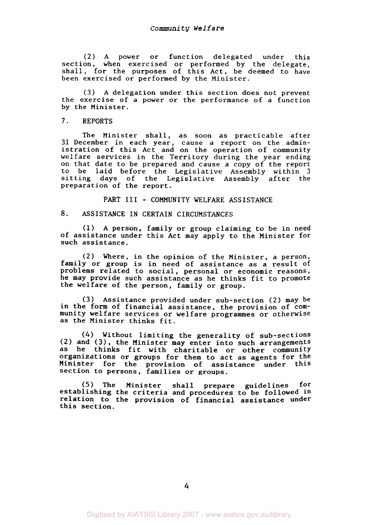(2) A power or function delegated under this section, when exercised or performed by the delegate, shall, for the purposes of this Act, be deemed to have been exercised or performed by the Minister.

*(3)* A delegation under this section does not prevent the exercise of a power or the performance of a function by the Minister.

### 7. REPORTS

The Minister shall, as soon as practicable after 31 December in each year, cause a report on the administration of this Act and on the operation of community welfare services in the Territory during the year ending on that date to be prepared and cause a copy of the report to be laid before the Legislative Assembly within *3*  sitting days of the Legislative Assembly after the preparation of the report.

PART **III** - COMMUNITY WELFARE ASSISTANCE

## *8.* ASSISTANCE IN CERTAIN CIRCUMSTANCES

(1) A person, family or group claiming to be in need of assistance under this Act may apply to the Minister for such assistance.

**(2)** Where, in the opinion of the Minister, a person, family or group is in need of assistance as a result of problems related to social, personal or economic reasons, he may provide such assistance as he thinks fit to promote the welfare of the person, family or group.

**(3)** Assistance provided under sub-section (2) may be in the form of financial assistance, the provision of community welfare services or welfare programmes or otherwise as the Minister thinks fit.

*(4)* Without limiting the generality of sub-sections **(2)** and **(3),** the Minister may enter into such arrangements as he thinks fit with charitable or other community organizations or groups for them to act as agents for the Minister for the provision of assistance under this section to persons, families or groups.

(5) The Minister shall prepare guidelines for establishing the criteria and procedures to be followed **in**  relation to the provision of financial assistance under this section.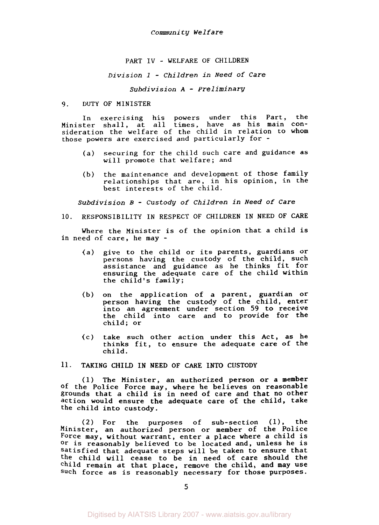PART IV - WELFARE OF CHILDREN

*Division 1* - *Children in Need of Care* 

*Subdivision A* - *Preliminary* 

### 9. DUTY OF MINISTER

In exercising his powers under this Part, the Minister shall, at all times, have as his main consideration the welfare of the child in relation to whom those powers are exercised and particularly for -

- (a) securing for the child such care and guidance as will promote that welfare; and
- (b) the maintenance and development of those family relationships that are, in his opinion, in the best interests of the child.

*Subdivision B* - *Custody of Children in Need of Care* 

*10.* RESPONSIBILITY IN RESPECT OF CHILDREN IN NEED OF CARE

Where the Minister is of the opinion that a child is in need of care, he may -

- (a) give to the child or its parents, guardians or persons having the custody of the child, such assistance and guidance as he thinks fit for ensuring the adequate care of the child within the child's family;
- (b) on the application of a parent, guardian or person having the custody of the child, enter into an agreement under section **59** to receive the child into care and to provide for the child; or
- (c) take such other action under this Act, as he thinks fit, to ensure the adequate care of the child.

### 11. TAKING CHILD IN NEED OF CARE INTO CUSTODY

(1) The Minister, an authorized person or a member of the Police Force may, where he believes on reasonable grounds that a child is in need of care and that no other action would ensure the adequate care of the child, take the child into custody.

(2) For the purposes of sub-section (1), the Minister, an authorized person or member of the Police Force may, without warrant, enter a place where a child is **Or** is reasonably believed to be located and, unless he is satisfied that adequate steps will be taken to ensure that the child will cease to be in need of care should the child remain at that place, remove the child, and may use such force as is reasonably necessary for those purposes.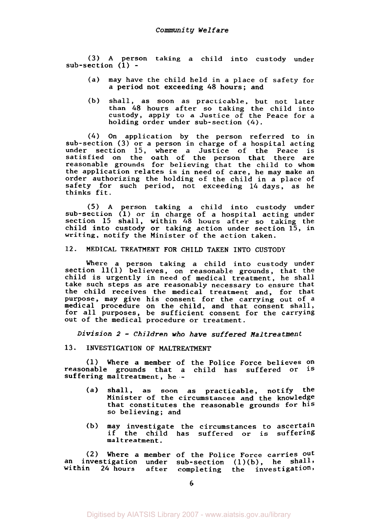**(3)** A person taking a child into custody under  $sub-section (1)$  -

- (a) may have the child held in a place of safety for a period not exceeding *48* hours; and
- (b) shall, as soon as practicable, but not later than *48* hours after *so* taking the child into custody, apply to a Justice of the Peace for a holding order under sub-section *(4).*

*(4)* On application by the person referred to in sub-section **(3)** or a person in charge of a hospital acting under section 15, where a Justice of the Peace is satisfied on the oath of the person that there are reasonable grounds for believing that the child to whom the application relates is in need of care, he may make an order authorizing the holding of the child in a place of safety for such period, not exceeding *14* days, as he thinks fit.

(5) A person taking a child into custody under sub-section **(1)** or in charge of a hospital acting under section 15 shall, within *48* hours after *so* taking the child into custody or taking action under section 15, in writing, notify the Minister of the action taken.

# *12.* MEDICAL TREATMENT FOR CHILD TAKEN INTO CUSTODY

Where a person taking a child into custody under section **11(1)** believes, on reasonable grounds, that the child is urgently in need of medical treatment, he shall take such steps as are reasonably necessary to ensure that the child receives the medical treatment and, for that purpose, may give his consent for the carrying out of a medical procedure on the child, and that consent shall, for all purposes, be sufficient consent for the carrying out of the medical procedure or treatment.

*Division 2* - *Children who have suffered Maltreatment* 

**13.** INVESTIGATION OF MALTREATMENT

**(1)** Where a member of the Police Force believes on reasonable grounds that a child has suffered or is suffering maltreatment, he -

- (a) shall, as soon as practicable, notify the Minister of the circumstances and the knowledge that constitutes the reasonable grounds for his so believing; and
- (b) may investigate the circumstances to ascertain if the child has suffered or is suffering maltreatment.

**(2)** Where a member of the Police Force carries Out an investigation under sub-section (1)(b), he shall, within *24* hours after completing the investigation,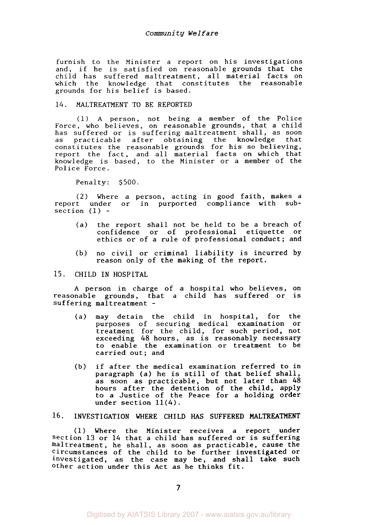furnish to the Minister a report on his investigations and, if he is satisfied on reasonable grounds that the child has suffered maltreatment, all material facts on which the knowledge that constitutes the reasonable grounds for his belief is based.

# 14. MALTREATMENT TO BE REPORTED

(1) **A** person, not being a member of the Police Force, who believes, on reasonable grounds, that a child has suffered or is suffering maltreatment shall, as soon<br>as practicable after obtaining the knowledge that constitutes the reasonable grounds for his *so* believing, report the fact, and all material facts on which that knowledge is based, to the Minister or a member of the Police Force.

Penalty: \$500.

(2) Where a person, acting in good faith, makes a report under or in purported compliance with subsection (1) -

- (a) the report shall not be held to be a breach of confidence or of professional etiquette or ethics or of a rule of professional conduct; and
- (b) no civil or criminal liability is incurred by reason only of the making of the report.

### 15. CHILD IN HOSPITAL

A person in charge of a hospital who believes, on reasonable grounds, that a child has suffered or is suffering maltreatment -

- (a) may detain the child in hospital, for the purposes of securing medical examination or treatment for the child, for such period, not exceeding 48 hours, as is reasonably necessary to enable the examination or treatment to be carried out; and
- **(b)** if after the medical examination referred to in paragraph (a) he is still of that belief shall, as soon as practicable, but not later than 48 hours after the detention of the child, apply to a Justice of the Peace for a holding order under section 11(4).

# 16. INVESTIGATION WHERE CHILD HAS SUFFERED MALTREATMENT

(1) Where the Minister receives a report under section **13** or 14 that a child has suffered or is suffering maltreatment, he shall, as soon as practicable, cause the circumstances of the child to be further investigated or investigated, as the case may be, and shall take such other action under this Act as he thinks fit.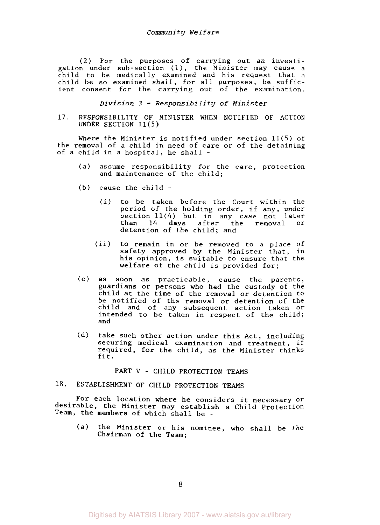(2) For the purposes of carrying out an investigation under sub-section **(1),** the Minister may cause a child to be medically examined and his request that a child be so examined shall, for all purposes, be sufficient consent for the carrying out of the examination.

*Division 3* - *Responsibility of Minister* 

17. RESPONSIBILITY OF MINISTER WHEN NOTIFIED OF ACTION UNDER SECTION 11(5)

Where the Minister is notified under section 11(5) of the removal of a child in need of care or of the detaining of a child in a hospital, he shall -

- (a) assume responsibility for the care, protection and maintenance of the child;
- (b) cause the child
	- (i) to be taken before the Court within the period of the holding order, if any, under  $\frac{\text{section }11(4)}{\text{days}}$  but in any case not later<br>than 14 days after the removal or days after the removal detention of the child; and
	- (ii) to remain in or be removed to a place of safety approved by the Minister that, in his opinion, is suitable to ensure that the welfare of the child is provided for;
- (c) as soon as practicable, cause the parents, guardians or persons who had the custody of the child at the time of the removal or detention to be notified of the removal or detention of the child and of any subsequent action taken or intended to be taken in respect of the child; and
- (d) take such other action under this Act, including securing medical examination and treatment, if required, for the child, as the Minister thinks fit.

PART V - CHILD PROTECTION TEAMS

# 18. ESTABLISHMENT OF CHILD PROTECTION TEAMS

For each location where he considers it necessary or desirable, the Minister may establish a Child Protection Team, the members of which shall be -

(a) the Minister or his nominee, who shall be the Chairman of the Team;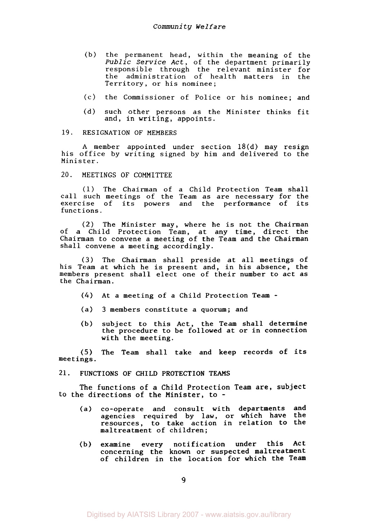- (b) the permanent head, within the meaning of the *Public Service Act,* of the department primarily responsible through the relevant minister for the administration of health matters in the Territory, or his nominee;
- (c) the Commissioner of Police or his nominee; and
- (d) such other persons as the Minister thinks fit and, in writing, appoints.

### 19. RESIGNATION OF MEMBERS

A member appointed under section 18(d) may resign his office by writing signed by him and delivered to the Minister.

*20.* MEETINGS OF COMMITTEE

(1) The Chairman of a Child Protection Team shall call such meetings of the Team as are necessary for the exercise of its powers and the performance of its functions.

(2) The Minister may, where he is not the Chairman of a Child Protection Team, at any time, direct the Chairman to convene a meeting of the Team and the Chairman shall convene a meeting accordingly.

(3) The Chairman shall preside at all meetings of his Team at which he is present and, in his absence, the members present shall elect one of their number to act as the Chairman.

- *(4)* At a meeting of a Child Protection Team -
- (a) **3** members constitute a quorum; and
- (b) subject to this Act, the Team shall determine the procedure to be followed at or in connection with the meeting.

(5) The Team shall take and keep records of its meetings .

#### 21. FUNCTIONS OF CHILD PROTECTION TEAMS

The functions of a Child Protection Team are, subject **to** the directions of the Minister, to -

- (a) co-operate and consult with departments and agencies required by law, or which have the resources, to take action in relation to the maltreatment of children;
- (b) examine every notification under this **Act**  concerning the known or suspected maltreatment of children in the location for which the Team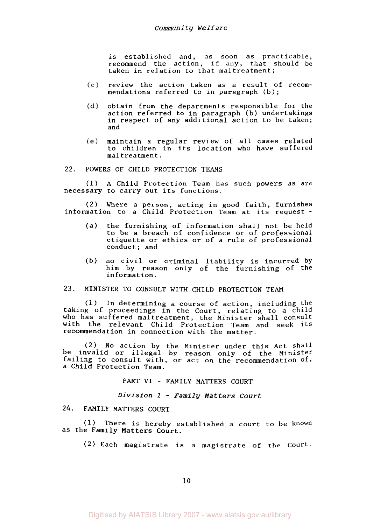is established and, as soon as practicable, recommend the action, if any, that should be taken in relation to that maltreatment;

- $(c)$  review the action taken as a result of recommendations referred to in paragraph (b);
- obtain from the departments responsible for the  $(d)$ action referred to in paragraph (b) undertakings in respect of any additional action to be taken; and
- maintain a regular review of all cases related (e) to children in its location who have suffered maltreatment.
- 22. POWERS OF CHILD PROTECTION TEAMS

(1) **A** Child Protection Team has such powers as are necessary to carry out its functions.

(2) Where a person, acting in good faith, furnishes information to a Child Protection Team at its request -

- (a) the furnishing of information shall not be held to be a breach of confidence or of professional etiquette or ethics or of a rule of professional conduct; and
- (b) no civil or criminal liability is incurred by him by reason only of the furnishing of the information.

# **23.** MINISTER TO CONSULT WITH CHILD PROTECTION TEAM

(1) In determining a course of action, including the taking of proceedings in the Court, relating to a child who has suffered maltreatment, the Minister shall consult with the relevant Child Protection Team and seek its recommendation in connection with the matter.

(2) No action by the Minister under this Act shall be invalid or illegal by reason only of the Minister failing to consult with, or act on the recommendation **of,**  a Child Protection Team.

PART VI - FAMILY MATTERS COURT

*Division 1* - *Family Matters Court* 

# *24.* FAMILY MATTERS COURT

**(1)** There is hereby established a court to be known as the Family Matters Court.

(2) Each magistrate is a magistrate of the Court.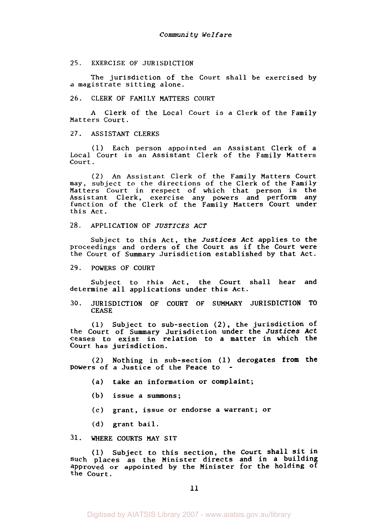### 25. EXERCISE OF JURISDICTION

The jurisdiction of the Court shall be exercised by a magistrate sitting alone.

### *26.* CLERK OF FAMILY MATTERS COURT

A Clerk of the Local Court is a Clerk of the Family Matters Court.

# 27. ASSISTANT CLERKS

(1) Each person appointed an Assistant Clerk of a Local Court is an Assistant Clerk of the Family Matters Court.

(2) An Assistant Clerk of the Family Matters Court may, subject to the directions of the Clerk of the Family Matters Court in respect of which 'that person is the Assistant Clerk, exercise any powers and perform any function of the Clerk of the Family Matters Court under this Act.

# **28.** APPLICATION OF *JUSTICES ACT*

Subject to this Act, the *Justices Act* applies to the proceedings and orders of the Court as if the Court were the Court of Summary Jurisdiction established by that Act.

### 29. POWERS OF COURT

Subject to this Act, the Court shall hear and determine all applications under this Act.

# 30. JURISDICTION OF COURT OF SUMMARY JURISDICTION TO **CEASE**

(1) Subject to sub-section (2), the jurisdiction of the Court of Summary Jurisdiction under the *Justices Act*  ceases to exist in relation to a matter in which the Court has jurisdiction.

Powers of a Justice of the Peace to - (2) Nothing in sub-section (1) derogates **from** the

- (a) take an information **or** complaint;
- (b) issue a summons;
- (c) grant, issue **or** endorse a warrant; or
- (d) grant bail.

# **31.** WHERE COURTS MAY SIT

(1) Subject to this section, the Court shall sit in such places as the Minister directs and in a building approved **or** appointed by the Minister for the holding of the Court.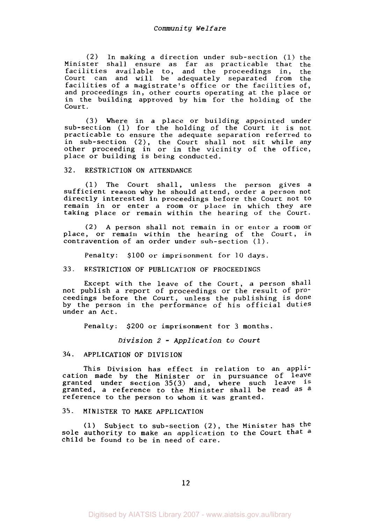(2) In making a direction under sub-section (1) the Minister shall ensure as far as practicable that the facilities available to, and the proceedings in, the Court can and will be adequately separated from the facilities of a magistrate's office or the facilities of, and proceedings in, other courts operating at the place or in the building approved by him for the holding of the Court.

*(3)* Where in a place or building appointed under sub-section (1) for the holding of the Court it is not practicable to ensure the adequate separation referred to in sub-section *(2),* the Court shall not sit while any other proceeding in or in the vicinity of the office, place or building is being conducted.

### *32.* RESTRICTION ON ATTENDANCE

(1) The Court shall, unless the person gives a sufficient reason why he should attend, order a person not directly interested in proceedings before the Court not to remain in or enter a room or place in which they are taking place or remain within the hearing of the Court.

(2) A person shall not remain in or enter a room **or**  place, or remain within the hearing of the Court, in contravention of an order under sub-section (1).

Penalty: \$100 or imprisonment for 10 days.

### *33.* RESTRICTION OF PUBLICATION OF PROCEEDINGS

Except with the leave of the Court, a person shall not publish a report of proceedings or the result of proceedings before the Court, unless the publishing is done by the person in the performance of his official duties under an Act.

Penalty: \$200 or imprisonment for **3** months.

Division 2 - Application *to Court* 

### *34.* APPLICATION OF DIVISION

This Division has effect in relation to an application made by the Minister or in pursuance of leave granted under section *35(3)* and, where such leave is granted, a reference to the Minister shall be read as a reference to the person to whom it was granted.

# **35.** MINISTER TO MAKE APPLICATION

**(1)** Subject to sub-section *(2),* the Minister has the sole authority to make an application to the Court that a child be found to be in need of care.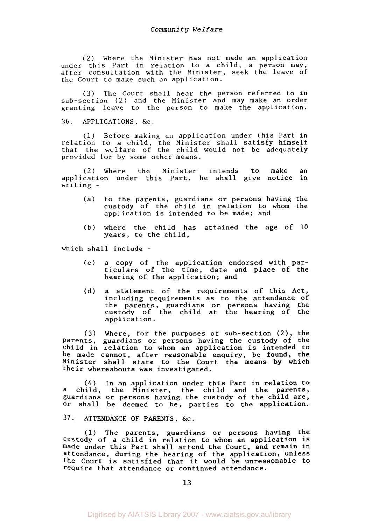(2) Where the Minister has not made an application under this Part in relation to a child, a person may, after consultation with the Minister, seek the leave of the Court to make such an application.

*(3)* The Court shall hear the person referred to in sub-section (2) and the Minister and may make an order granting leave to the person to make the application.

*36.* APPLICATIONS, &c.

(1) Before making an application under this Part in relation to a child, the Minister shall satisfy himself that the welfare of the child would not be adequately provided for by some other means.

(2) Where the Minister intends to make an application under this Part, he shall give notice in writing -

- (a) to the parents, guardians or persons having the custody of the child in relation to whom the application is intended to be made; and
- (b) where the child has attained the age of 10 years, to the child,

which shall include -

- (c) a copy of the application endorsed with particulars of the time, date and place of the hearing of the application; and
- (d) a statement of the requirements of this Act, including requirements as to the attendance of the parents, guardians or persons having the custody of the child at the hearing of the application.

(3) Where, for the purposes of sub-section (2), the parents, guardians or persons having the custody of the child in relation to whom an application is intended to be made cannot, after reasonable enquiry, be found, the Minister shall state to the Court the means by which their whereabouts was investigated.

(4) In an application under this Part in relation to a child, the Minister, the child and the parents, guardians or persons having the custody of the child are, **or** shall be deemed to be, parties to the application.

37. ATTENDANCE OF PARENTS, &c.

(1) The parents, guardians or persons having the custody of a child in relation to whom an application is made under this Part shall attend the Court, and remain in attendance, during the hearing of the application, unless the Court is satisfied that it would be unreasonable to require that attendance or continued attendance.